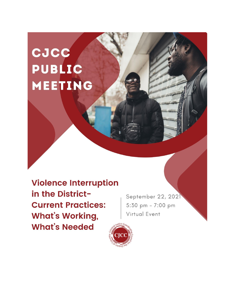# **CJCC** PUBLIC MEETING

**Violence Interruption** in the District-**Current Practices: What's Working, What's Needed** 

September 22, 2021 5:30 pm - 7:00 pm Virtual Event

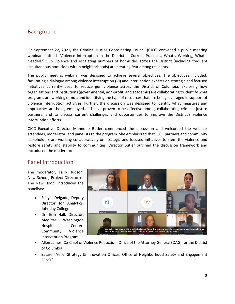## Background

On September 22, 2021, the Criminal Justice Coordinating Council (CJCC) convened a public meeting webinar entitled "Violence Interruption in the District - Current Practices, What's Working, What's Needed." Gun violence and escalating numbers of homicides across the District (including frequent simultaneous homicides within neighborhoods) are creating fear among residents.

The public meeting webinar was designed to achieve several objectives. The objectives included: facilitating a dialogue among violence interruption (VI) and intervention experts on strategic and focused initiatives currently used to reduce gun violence across the District of Columbia; exploring how organizations and institutions (governmental, non-profit, and academic) are collaborating to identify what programs are working or not; and identifying the type of resources that are being leveraged in support of violence interruption activities. Further, the discussion was designed to identify what measures and approaches are being employed and have proven to be effective among collaborating criminal justice partners, and to discuss current challenges and opportunities to improve the District's violence interruption efforts.

CJCC Executive Director Mannone Butler commenced the discussion and welcomed the webinar attendees, moderator, and panelists to the program. She emphasized that CJCC partners and community stakeholders are working collaboratively on strategic and focused initiatives to stem the violence and restore safety and stability to communities. Director Butler outlined the discussion framework and introduced the moderator.

## Panel Introduction

The moderator, Talib Hudson, New School, Project Director of The New Hood, introduced the panelists:

- Sheyla Delgado, Deputy Director for Analytics, John Jay College
- Dr. Erin Hall, Director, MedStar Washington Hospital Center-Community Violence Intervention Program



- Allen James, Co-Chief of Violence Reduction, Office of the Attorney General (OAG) for the District of Columbia
- Satareh Yelle, Strategy & Innovation Officer, Office of Neighborhood Safety and Engagement (ONSE)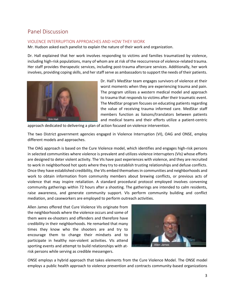# Panel Discussion

#### VIOLENCE INTERRUPTION APPROACHES AND HOW THEY WORK

Mr. Hudson asked each panelist to explain the nature of their work and organization.

Dr. Hall explained that her work involves responding to victims and families traumatized by violence, including high-risk populations, many of whom are at risk of the reoccurrence of violence-related trauma. Her staff provides therapeutic services, including post-trauma aftercare services. Additionally, her work involves, providing coping skills, and her staff serve as ambassadors to support the needs of their patients.



Dr. Hall's MedStar team engages survivors of violence at their worst moments when they are experiencing trauma and pain. The program utilizes a western medical model and approach to trauma that responds to victims after their traumatic event. The MedStar program focuses on educating patients regarding the value of receiving trauma informed care. MedStar staff members function as liaisons/translators between patients and medical teams and their efforts utilize a patient-centric

approach dedicated to delivering a plan of action focused on violence intervention.

The two District government agencies engaged in Violence Interruption (VI), OAG and ONSE, employ different models and approaches.

The OAG approach is based on the Cure Violence model, which identifies and engages high-risk persons in selected communities where violence is prevalent and utilizes violence interrupters (VIs) whose efforts are designed to deter violent activity. The VIs have past experiences with violence, and they are recruited to work in neighborhood hot spots where they try to establish trusting relationships and defuse conflicts. Once they have established credibility, the VIs embed themselves in communities and neighborhoods and work to obtain information from community members about brewing conflicts, or previous acts of violence that may inspire retaliation. A standard procedural protocol employed involves convening community gatherings within 72 hours after a shooting. The gatherings are intended to calm residents, raise awareness, and generate community support. VIs perform community building and conflict mediation, and caseworkers are employed to perform outreach activities.

Allen James offered that Cure Violence VIs originate from the neighborhoods where the violence occurs and some of them were ex-shooters and offenders and therefore have credibility in their neighborhoods. He remarked that many times they know who the shooters are and try to encourage them to change their mindsets and to participate in healthy non-violent activities. VIs attend sporting events and attempt to build relationships with atrisk persons while serving as credible messengers.



ONSE employs a hybrid approach that takes elements from the Cure Violence Model. The ONSE model employs a public health approach to violence prevention and contracts community-based organizations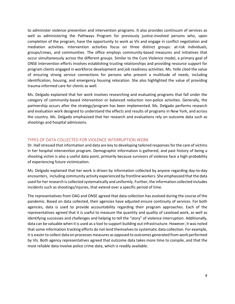to administer violence prevention and intervention programs. It also provides continuum of services as well as administering the Pathways Program for previously justice-involved persons who, upon completion of the program, have the opportunity to work as VIs and engage in conflict negotiation and mediation activities. Intervention activities focus on three distinct groups: at-risk individuals, groups/crews, and communities. The office employs community-based measures and initiatives that occur simultaneously across the different groups. Similar to the Cure Violence model, a primary goal of ONSE intervention efforts involves establishing trusting relationships and providing resource support for program clients engaged in workforce development and job readiness activities. Ms. Yelle cited the value of ensuring strong service connections for persons who present a multitude of needs, including identification, housing, and emergency housing relocation. She also highlighted the value of providing trauma-informed care for clients as well.

Ms. Delgado explained that her work involves researching and evaluating programs that fall under the category of community-based intervention or balanced reduction non-police activities. Generally, the partnership occurs after the strategy/program has been implemented. Ms. Delgado performs research and evaluation work designed to understand the effects and results of programs in New York, and across the country. Ms. Delgado emphasized that her research and evaluations rely on outcome data such as shootings and hospital admissions.

#### TYPES OF DATA COLLECTED FOR VIOLENCE INTERRUPTION WORK

Dr. Hall stressed that information and data are key to developing tailored responses for the care of victims in her hospital intervention program. Demographic information is gathered, and past history of being a shooting victim is also a useful data point, primarily because survivors of violence face a high probability of experiencing future victimization.

Ms. Delgado explained that her work is driven by information collected by anyone regarding day-to-day encounters, including community activity experienced by frontline workers. She emphasized that the data used for her research is collected systematically and uniformly. Further, the information collected includes incidents such as shootings/injuries, that extend over a specific period of time.

The representatives from OAG and ONSE agreed that data collection has evolved during the course of the pandemic. Based on data collected, their agencies have adjusted ensure continuity of services. For both agencies, data is used to provide accountability regarding their program approaches. Each of the representatives agreed that it is useful to measure the quantity and quality of caseload work, as well as identifying successes and challenges and helping to tell the "story" of violence interruption. Additionally, data can be valuable when it is used as a tool to support building out infrastructure. However, it was noted that some information tracking efforts do not lend themselves to systematic data collection. For example, it is easier to collect data on processes measures as opposed to outcomes generated from work performed by VIs. Both agency representatives agreed that outcome data takes more time to compile, and that the most reliable data involve police crime data, which is readily available.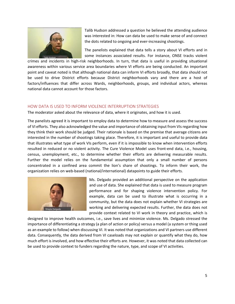

Talib Hudson addressed a question he believed the attending audience was interested in: How can data be used to make sense of and connect the dots related to ongoing and ever-increasing shootings.

The panelists explained that data tells a story about VI efforts and in some instances associated results. For instance, ONSE tracks violent

crimes and incidents in high-risk neighborhoods. In turn, that data is useful in providing situational awareness within various service area boundaries where VI efforts are being conducted. An important point and caveat noted is that although national data can inform VI efforts broadly, that data should not be used to drive District efforts because District neighborhoods vary and there are a host of factors/influences that differ across Wards, neighborhoods, groups, and individual actors, whereas national data cannot account for those factors.

#### HOW DATA IS USED TO INFORM VIOLENCE INTERRUPTION STRATEGIES

The moderator asked about the relevance of data, where it originates, and how it is used.

The panelists agreed it is important to employ data to determine how to measure and assess the success of VI efforts. They also acknowledged the value and importance of obtaining input from VIs regarding how they think their work should be judged. Their rationale is based on the premise that average citizens are interested in the number of shootings taking place. Therefore, it is important and useful to provide data that illustrates what type of work VIs perform, even if it is impossible to know when intervention efforts resulted in reduced or no violent activity. The Cure Violence Model uses front-end data, i.e., housing, census, unemployment, etc., to determine whether their efforts are delivering measurable results. Further the model relies on the fundamental assumption that only a small number of persons concentrated in a confined area commit the lion's share of shootings. To inform their work, the organization relies on web-based (national/international) datapoints to guide their efforts.



Ms. Delgado provided an additional perspective on the application and use of data. She explained that data is used to measure program performance and for shaping violence intervention policy. For example, data can be used to illustrate what is occurring in a community, but the data does not explain whether VI strategies are working and delivering expected results. Further, the data does not provide context related to VI work in theory and practice, which is

designed to improve health outcomes, i.e., save lives and minimize violence. Ms. Delgado stressed the importance of differentiating a strategy (a plan of action or policy) versus a model (a system or thing used as an example to follow) when discussing VI. It was noted that organizations and VI partners use different data. Consequently, the data derived from VI caseloads may not explain or quantify what they do, how much effort is involved, and how effective their efforts are. However, it was noted that data collected can be used to provide context to funders regarding the nature, type, and scope of VI activities.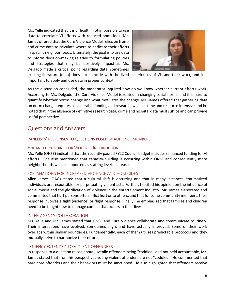Ms. Yelle indicated that it is difficult if not impossible to use data to correlate VI efforts with reduced homicides. Mr. James offered that the Cure Violence Model relies on frontend crime data to calculate where to dedicate their efforts in specific neighborhoods. Ultimately, the goal is to use data to inform decision-making relative to formulating policies and strategies that may be positively impactful. Ms. Delgado made a critical point regarding data; sometimes



existing literature (data) does not coincide with the lived experiences of Vis and their work, and it is important to apply and use data in proper context.

As the discussion concluded, the moderator inquired how do we know whether current efforts work. According to Ms. Delgado, the Cure Violence Model is rooted in changing social norms and it is hard to quantify whether norms change and what motivates the change. Mr. James offered that gathering data on norm change requires considerable funding and research, which is time and resource intensive and he noted that in the absence of definitive research data, crime and hospital data must suffice and can provide useful perspective.

## Questions and Answers

#### PANELISTS' RESPONSES TO QUESTIONS POSED BY AUDIENCE MEMBERS

#### ENHANCED FUNDING FOR VIOLENCE INTERRUPTION

Ms. Yelle (ONSE) indicated that the recently passed FY22 Council budget includes enhanced funding for VI efforts. She also mentioned that capacity-building is occurring within ONSE and consequently more neighborhoods will be supported as staffing levels increase.

#### EXPLANATIONS FOR INCREASED VIOLENCE AND HOMICIDES

Allen James (OAG) stated that a cultural shift is occurring and that in many instances, traumatized individuals are responsible for perpetuating violent acts. Further, he cited his opinion on the influence of social media and the glorification of violence in the entertainment industry. Mr. James elaborated and commented that hurt persons often inflict hurt onto others, and that for some community members, their response involves a fight (violence) or flight response. Finally, he emphasized that families and children need to be taught how to manage conflict that occurs in their lives.

#### INTER-AGENCY COLLABORATION

Ms. Yelle and Mr. James stated that ONSE and Cure Violence collaborate and communicate routinely. Their interactions have evolved, sometimes align, and have actually improved. Some of their work overlaps within similar boundaries. Fundamentally, each of them utilizes predictable protocols and they mutually strive to harmonize their efforts.

#### LENIENCY EXTENDED TO VIOLENT OFFENDERS

In response to a question raised about juvenile offenders being "coddled" and not held accountable, Mr. James stated that from his perspectives young violent offenders are not "coddled." He commented that hard core offenders and their behaviors must be sanctioned. He also highlighted that offenders receive